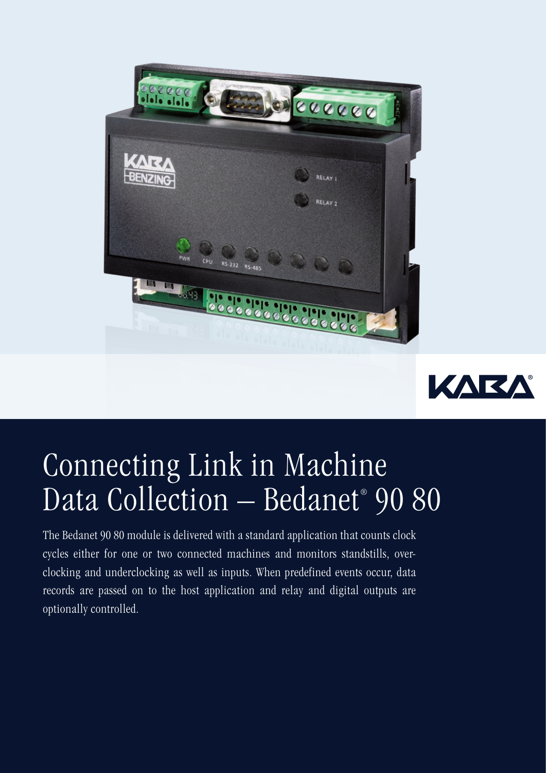



## Connecting Link in Machine Data Collection – Bedanet® 90 80

The Bedanet 90 80 module is delivered with a standard application that counts clock cycles either for one or two connected machines and monitors standstills, overclocking and underclocking as well as inputs. When predefined events occur, data records are passed on to the host application and relay and digital outputs are optionally controlled.